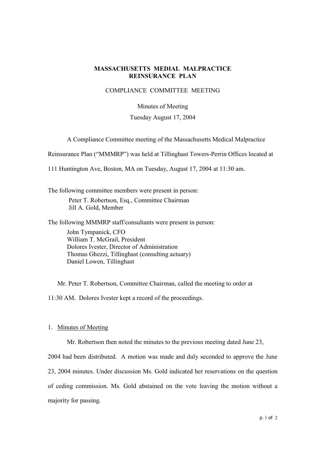# **MASSACHUSETTS MEDIAL MALPRACTICE REINSURANCE PLAN**

## COMPLIANCE COMMITTEE MEETING

#### Minutes of Meeting

# Tuesday August 17, 2004

A Compliance Committee meeting of the Massachusetts Medical Malpractice

Reinsurance Plan ("MMMRP") was held at Tillinghast Towers-Perrin Offices located at

111 Huntington Ave, Boston, MA on Tuesday, August 17, 2004 at 11:30 am.

The following committee members were present in person: Peter T. Robertson, Esq., Committee Chairman Jill A. Gold, Member

The following MMMRP staff/consultants were present in person:

John Tympanick, CFO William T. McGrail, President Dolores Ivester, Director of Administration Thomas Ghezzi, Tillinghast (consulting actuary) Daniel Lowen, Tillinghast

Mr. Peter T. Robertson, Committee Chairman, called the meeting to order at 11:30 AM. Dolores Ivester kept a record of the proceedings.

#### 1. Minutes of Meeting

Mr. Robertson then noted the minutes to the previous meeting dated June 23,

2004 had been distributed. A motion was made and duly seconded to approve the June 23, 2004 minutes. Under discussion Ms. Gold indicated her reservations on the question of ceding commission. Ms. Gold abstained on the vote leaving the motion without a majority for passing.